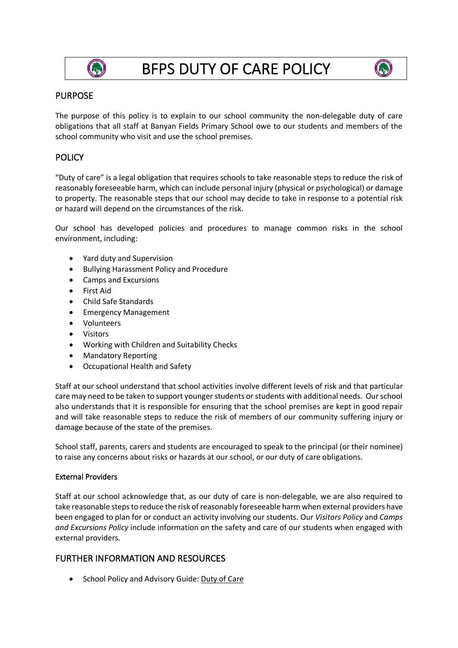

# BFPS DUTY OF CARE POLICY



## PURPOSE

The purpose of this policy is to explain to our school community the non-delegable duty of care obligations that all staff at Banyan Fields Primary School owe to our students and members of the school community who visit and use the school premises.

# **POLICY**

"Duty of care" is a legal obligation that requires schools to take reasonable steps to reduce the risk of reasonably foreseeable harm, which can include personal injury (physical or psychological) or damage to property. The reasonable steps that our school may decide to take in response to a potential risk or hazard will depend on the circumstances of the risk.

Our school has developed policies and procedures to manage common risks in the school environment, including:

- Yard duty and Supervision
- Bullying Harassment Policy and Procedure
- Camps and Excursions
- First Aid
- Child Safe Standards
- Emergency Management
- Volunteers
- Visitors
- Working with Children and Suitability Checks
- Mandatory Reporting
- Occupational Health and Safety

Staff at our school understand that school activities involve different levels of risk and that particular care may need to be taken to support younger students or students with additional needs. Our school also understands that it is responsible for ensuring that the school premises are kept in good repair and will take reasonable steps to reduce the risk of members of our community suffering injury or damage because of the state of the premises.

School staff, parents, carers and students are encouraged to speak to the principal (or their nominee) to raise any concerns about risks or hazards at our school, or our duty of care obligations.

#### External Providers

Staff at our school acknowledge that, as our duty of care is non-delegable, we are also required to take reasonable steps to reduce the risk of reasonably foreseeable harm when external providers have been engaged to plan for or conduct an activity involving our students. Our *Visitors Policy* and *Camps and Excursions Policy* include information on the safety and care of our students when engaged with external providers.

### FURTHER INFORMATION AND RESOURCES

• School Policy and Advisory Guide: Duty of Care